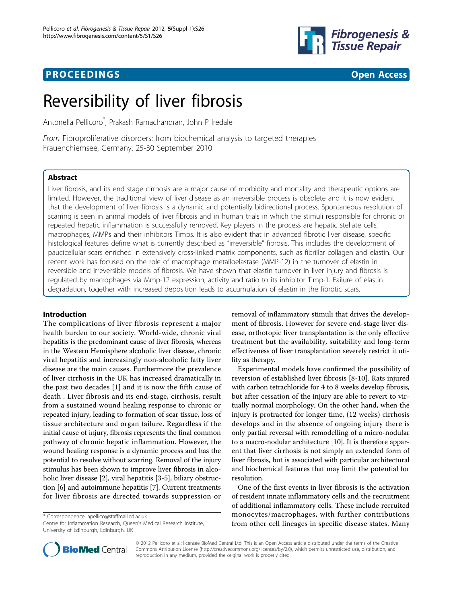



# Reversibility of liver fibrosis

Antonella Pellicoro\* , Prakash Ramachandran, John P Iredale

From Fibroproliferative disorders: from biochemical analysis to targeted therapies Frauenchiemsee, Germany. 25-30 September 2010

# Abstract

Liver fibrosis, and its end stage cirrhosis are a major cause of morbidity and mortality and therapeutic options are limited. However, the traditional view of liver disease as an irreversible process is obsolete and it is now evident that the development of liver fibrosis is a dynamic and potentially bidirectional process. Spontaneous resolution of scarring is seen in animal models of liver fibrosis and in human trials in which the stimuli responsible for chronic or repeated hepatic inflammation is successfully removed. Key players in the process are hepatic stellate cells, macrophages, MMPs and their inhibitors Timps. It is also evident that in advanced fibrotic liver disease, specific histological features define what is currently described as "irreversible" fibrosis. This includes the development of paucicellular scars enriched in extensively cross-linked matrix components, such as fibrillar collagen and elastin. Our recent work has focused on the role of macrophage metalloelastase (MMP-12) in the turnover of elastin in reversible and irreversible models of fibrosis. We have shown that elastin turnover in liver injury and fibrosis is regulated by macrophages via Mmp-12 expression, activity and ratio to its inhibitor Timp-1. Failure of elastin degradation, together with increased deposition leads to accumulation of elastin in the fibrotic scars.

# Introduction

The complications of liver fibrosis represent a major health burden to our society. World-wide, chronic viral hepatitis is the predominant cause of liver fibrosis, whereas in the Western Hemisphere alcoholic liver disease, chronic viral hepatitis and increasingly non-alcoholic fatty liver disease are the main causes. Furthermore the prevalence of liver cirrhosis in the UK has increased dramatically in the past two decades [[1\]](#page-2-0) and it is now the fifth cause of death . Liver fibrosis and its end-stage, cirrhosis, result from a sustained wound healing response to chronic or repeated injury, leading to formation of scar tissue, loss of tissue architecture and organ failure. Regardless if the initial cause of injury, fibrosis represents the final common pathway of chronic hepatic inflammation. However, the wound healing response is a dynamic process and has the potential to resolve without scarring. Removal of the injury stimulus has been shown to improve liver fibrosis in alcoholic liver disease [[2\]](#page-2-0), viral hepatitis [\[3](#page-2-0)-[5\]](#page-2-0), biliary obstruction [[6](#page-2-0)] and autoimmune hepatitis [\[7](#page-2-0)]. Current treatments for liver fibrosis are directed towards suppression or

\* Correspondence: [apellico@staffmail.ed.ac.uk](mailto:apellico@staffmail.ed.ac.uk)

Centre for Inflammation Research, Queen's Medical Research Institute, University of Edinburgh, Edinburgh, UK

removal of inflammatory stimuli that drives the development of fibrosis. However for severe end-stage liver disease, orthotopic liver transplantation is the only effective treatment but the availability, suitability and long-term effectiveness of liver transplantation severely restrict it utility as therapy.

Experimental models have confirmed the possibility of reversion of established liver fibrosis [[8-10](#page-2-0)]. Rats injured with carbon tetrachloride for 4 to 8 weeks develop fibrosis, but after cessation of the injury are able to revert to virtually normal morphology. On the other hand, when the injury is protracted for longer time, (12 weeks) cirrhosis develops and in the absence of ongoing injury there is only partial reversal with remodelling of a micro-nodular to a macro-nodular architecture [\[10](#page-2-0)]. It is therefore apparent that liver cirrhosis is not simply an extended form of liver fibrosis, but is associated with particular architectural and biochemical features that may limit the potential for resolution.

One of the first events in liver fibrosis is the activation of resident innate inflammatory cells and the recruitment of additional inflammatory cells. These include recruited monocytes/macrophages, with further contributions from other cell lineages in specific disease states. Many



© 2012 Pellicoro et al; licensee BioMed Central Ltd. This is an Open Access article distributed under the terms of the Creative Commons Attribution License [\(http://creativecommons.org/licenses/by/2.0](http://creativecommons.org/licenses/by/2.0)), which permits unrestricted use, distribution, and reproduction in any medium, provided the original work is properly cited.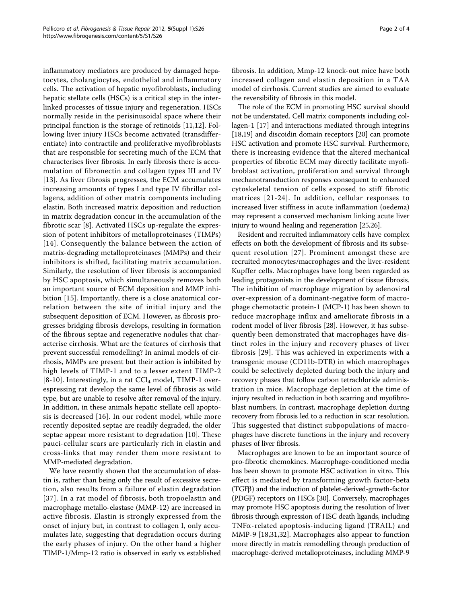inflammatory mediators are produced by damaged hepatocytes, cholangiocytes, endothelial and inflammatory cells. The activation of hepatic myofibroblasts, including hepatic stellate cells (HSCs) is a critical step in the interlinked processes of tissue injury and regeneration. HSCs normally reside in the perisinusoidal space where their principal function is the storage of retinoids [[11,12\]](#page-2-0). Following liver injury HSCs become activated (transdifferentiate) into contractile and proliferative myofibroblasts that are responsible for secreting much of the ECM that characterises liver fibrosis. In early fibrosis there is accumulation of fibronectin and collagen types III and IV [[13](#page-2-0)]. As liver fibrosis progresses, the ECM accumulates increasing amounts of types I and type IV fibrillar collagens, addition of other matrix components including elastin. Both increased matrix deposition and reduction in matrix degradation concur in the accumulation of the fibrotic scar [\[8](#page-2-0)]. Activated HSCs up-regulate the expression of potent inhibitors of metalloproteinases (TIMPs) [[14\]](#page-2-0). Consequently the balance between the action of matrix-degrading metalloproteinases (MMPs) and their inhibitors is shifted, facilitating matrix accumulation. Similarly, the resolution of liver fibrosis is accompanied by HSC apoptosis, which simultaneously removes both an important source of ECM deposition and MMP inhibition [\[15](#page-2-0)]. Importantly, there is a close anatomical correlation between the site of initial injury and the subsequent deposition of ECM. However, as fibrosis progresses bridging fibrosis develops, resulting in formation of the fibrous septae and regenerative nodules that characterise cirrhosis. What are the features of cirrhosis that prevent successful remodelling? In animal models of cirrhosis, MMPs are present but their action is inhibited by high levels of TIMP-1 and to a lesser extent TIMP-2 [[8](#page-2-0)-[10\]](#page-2-0). Interestingly, in a rat  $CCl_4$  model, TIMP-1 overespressing rat develop the same level of fibrosis as wild type, but are unable to resolve after removal of the injury. In addition, in these animals hepatic stellate cell apoptosis is decreased [\[16\]](#page-2-0). In our rodent model, while more recently deposited septae are readily degraded, the older septae appear more resistant to degradation [[10](#page-2-0)]. These pauci-cellular scars are particularly rich in elastin and cross-links that may render them more resistant to MMP-mediated degradation.

We have recently shown that the accumulation of elastin is, rather than being only the result of excessive secretion, also results from a failure of elastin degradation [[37\]](#page-3-0). In a rat model of fibrosis, both tropoelastin and macrophage metallo-elastase (MMP-12) are increased in active fibrosis. Elastin is strongly expressed from the onset of injury but, in contrast to collagen I, only accumulates late, suggesting that degradation occurs during the early phases of injury. On the other hand a higher TIMP-1/Mmp-12 ratio is observed in early vs established fibrosis. In addition, Mmp-12 knock-out mice have both increased collagen and elastin deposition in a TAA model of cirrhosis. Current studies are aimed to evaluate the reversibility of fibrosis in this model.

The role of the ECM in promoting HSC survival should not be understated. Cell matrix components including collagen-1 [[17\]](#page-2-0) and interactions mediated through integrins [[18,19\]](#page-2-0) and discoidin domain receptors [[20\]](#page-3-0) can promote HSC activation and promote HSC survival. Furthermore, there is increasing evidence that the altered mechanical properties of fibrotic ECM may directly facilitate myofibroblast activation, proliferation and survival through mechanotransduction responses consequent to enhanced cytoskeletal tension of cells exposed to stiff fibrotic matrices [[21](#page-3-0)-[24\]](#page-3-0). In addition, cellular responses to increased liver stiffness in acute inflammation (oedema) may represent a conserved mechanism linking acute liver injury to wound healing and regeneration [[25,26\]](#page-3-0).

Resident and recruited inflammatory cells have complex effects on both the development of fibrosis and its subsequent resolution [[27\]](#page-3-0). Prominent amongst these are recruited monocytes/macrophages and the liver-resident Kupffer cells. Macrophages have long been regarded as leading protagonists in the development of tissue fibrosis. The inhibition of macrophage migration by adenoviral over-expression of a dominant-negative form of macrophage chemotactic protein-1 (MCP-1) has been shown to reduce macrophage influx and ameliorate fibrosis in a rodent model of liver fibrosis [[28\]](#page-3-0). However, it has subsequently been demonstrated that macrophages have distinct roles in the injury and recovery phases of liver fibrosis [[29](#page-3-0)]. This was achieved in experiments with a transgenic mouse (CD11b-DTR) in which macrophages could be selectively depleted during both the injury and recovery phases that follow carbon tetrachloride administration in mice. Macrophage depletion at the time of injury resulted in reduction in both scarring and myofibroblast numbers. In contrast, macrophage depletion during recovery from fibrosis led to a reduction in scar resolution. This suggested that distinct subpopulations of macrophages have discrete functions in the injury and recovery phases of liver fibrosis.

Macrophages are known to be an important source of pro-fibrotic chemokines. Macrophage-conditioned media has been shown to promote HSC activation in vitro. This effect is mediated by transforming growth factor-beta (TGFb) and the induction of platelet-derived-growth-factor (PDGF) receptors on HSCs [[30](#page-3-0)]. Conversely, macrophages may promote HSC apoptosis during the resolution of liver fibrosis through expression of HSC death ligands, including TNFa-related apoptosis-inducing ligand (TRAIL) and MMP-9 [\[18](#page-2-0)[,31,32](#page-3-0)]. Macrophages also appear to function more directly in matrix remodelling through production of macrophage-derived metalloproteinases, including MMP-9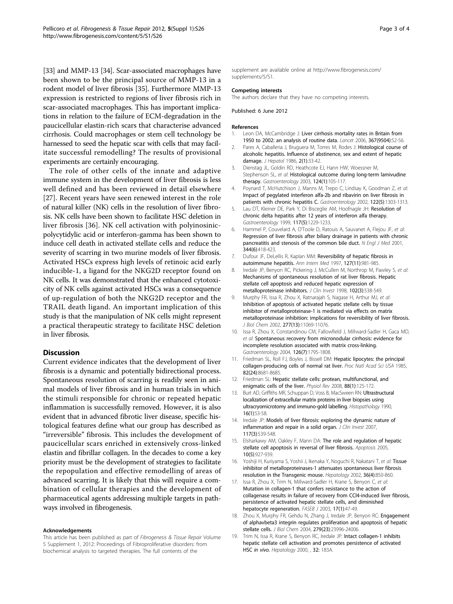<span id="page-2-0"></span>[[33](#page-3-0)] and MMP-13 [\[34](#page-3-0)]. Scar-associated macrophages have been shown to be the principal source of MMP-13 in a rodent model of liver fibrosis [\[35\]](#page-3-0). Furthermore MMP-13 expression is restricted to regions of liver fibrosis rich in scar-associated macrophages. This has important implications in relation to the failure of ECM-degradation in the paucicellular elastin-rich scars that characterise advanced cirrhosis. Could macrophages or stem cell technology be harnessed to seed the hepatic scar with cells that may facilitate successful remodelling? The results of provisional experiments are certainly encouraging.

The role of other cells of the innate and adaptive immune system in the development of liver fibrosis is less well defined and has been reviewed in detail elsewhere [[27\]](#page-3-0). Recent years have seen renewed interest in the role of natural killer (NK) cells in the resolution of liver fibrosis. NK cells have been shown to facilitate HSC deletion in liver fibrosis [[36\]](#page-3-0). NK cell activation with polyinosinicpolycytidylic acid or interferon-gamma has been shown to induce cell death in activated stellate cells and reduce the severity of scarring in two murine models of liver fibrosis. Activated HSCs express high levels of retinoic acid early inducible-1, a ligand for the NKG2D receptor found on NK cells. It was demonstrated that the enhanced cytotoxicity of NK cells against activated HSCs was a consequence of up-regulation of both the NKG2D receptor and the TRAIL death ligand. An important implication of this study is that the manipulation of NK cells might represent a practical therapeutic strategy to facilitate HSC deletion in liver fibrosis.

# **Discussion**

Current evidence indicates that the development of liver fibrosis is a dynamic and potentially bidirectional process. Spontaneous resolution of scarring is readily seen in animal models of liver fibrosis and in human trials in which the stimuli responsible for chronic or repeated hepatic inflammation is successfully removed. However, it is also evident that in advanced fibrotic liver disease, specific histological features define what our group has described as "irreversible" fibrosis. This includes the development of paucicellular scars enriched in extensively cross-linked elastin and fibrillar collagen. In the decades to come a key priority must be the development of strategies to facilitate the repopulation and effective remodelling of areas of advanced scarring. It is likely that this will require a combination of cellular therapies and the development of pharmaceutical agents addressing multiple targets in pathways involved in fibrogenesis.

#### Acknowledgements

This article has been published as part of Fibrogenesis & Tissue Repair Volume 5 Supplement 1, 2012: Proceedings of Fibroproliferative disorders: from biochemical analysis to targeted therapies. The full contents of the

supplement are available online at [http://www.fibrogenesis.com/](http://www.fibrogenesis.com/supplements/5/S1) [supplements/5/S1.](http://www.fibrogenesis.com/supplements/5/S1)

#### Competing interests

The authors declare that they have no competing interests.

Published: 6 June 2012

### References

- 1. Leon DA, McCambridge J: Liver cirrhosis mortality rates in Britain from 1950 to 2002: an analysis of routine data. Lancet 2006, 367(9504):52-56.
- 2. Pares A, Caballeria J, Bruguera M, Torres M, Rodes J: Histological course of alcoholic hepatitis. Influence of abstinence, sex and extent of hepatic damage. *J Hepatol* 1986, 2(1):33-42.
- 3. Dienstag JL, Goldin RD, Heathcote EJ, Hann HW, Woessner M, Stephenson SL, et al: Histological outcome during long-term lamivudine therapy. Gastroenterology 2003, 124(1):105-117.
- 4. Poynard T, McHutchison J, Manns M, Trepo C, Lindsay K, Goodman Z, et al: Impact of pegylated interferon alfa-2b and ribavirin on liver fibrosis in patients with chronic hepatitis C. Gastroenterology 2002, 122(5):1303-1313.
- 5. Lau DT, Kleiner DE, Park Y, Di Bisceglie AM, Hoofnagle JH: Resolution of chronic delta hepatitis after 12 years of interferon alfa therapy. Gastroenterology 1999, 117(5):1229-1233.
- 6. Hammel P, Couvelard A, O'Toole D, Ratouis A, Sauvanet A, Flejou JF, et al: Regression of liver fibrosis after biliary drainage in patients with chronic pancreatitis and stenosis of the common bile duct. N Engl J Med 2001, 344(6):418-423.
- 7. Dufour JF, DeLellis R, Kaplan MM: Reversibility of hepatic fibrosis in autoimmune hepatitis. Ann Intern Med 1997, 127(11):981-985.
- 8. Iredale JP, Benyon RC, Pickering J, McCullen M, Northrop M, Pawley S, et al: Mechanisms of spontaneous resolution of rat liver fibrosis. Hepatic stellate cell apoptosis and reduced hepatic expression of metalloproteinase inhibitors. J Clin Invest 1998, 102(3):538-549.
- 9. Murphy FR, Issa R, Zhou X, Ratnarajah S, Nagase H, Arthur MJ, et al: Inhibition of apoptosis of activated hepatic stellate cells by tissue inhibitor of metalloproteinase-1 is mediated via effects on matrix metalloproteinase inhibition: implications for reversibility of liver fibrosis. J Biol Chem 2002, 277(13):11069-11076.
- 10. Issa R, Zhou X, Constandinou CM, Fallowfield J, Millward-Sadler H, Gaca MD, et al: Spontaneous recovery from micronodular cirrhosis: evidence for incomplete resolution associated with matrix cross-linking. Gastroenterology 2004, 126(7):1795-1808.
- 11. Friedman SL, Roll FJ, Boyles J, Bissell DM: Hepatic lipocytes: the principal collagen-producing cells of normal rat liver. Proc Natl Acad Sci USA 1985, 82(24):8681-8685.
- 12. Friedman SL: Hepatic stellate cells: protean, multifunctional, and enigmatic cells of the liver. Physiol Rev 2008, 88(1):125-172.
- 13. Burt AD, Griffiths MR, Schuppan D, Voss B, MacSween RN: Ultrastructural localization of extracellular matrix proteins in liver biopsies using ultracryomicrotomy and immuno-gold labelling. Histopathology 1990, 16(1):53-58.
- 14. Iredale JP: Models of liver fibrosis: exploring the dynamic nature of inflammation and repair in a solid organ. J Clin Invest 2007, 117(3):539-548.
- 15. Elsharkawy AM, Oakley F, Mann DA: The role and regulation of hepatic stellate cell apoptosis in reversal of liver fibrosis. Apoptosis 2005, 10(5):927-939.
- 16. Yoshiji H, Kuriyama S, Yoshii J, Ikenaka Y, Noguchi R, Nakatani T, et al: Tissue inhibitor of metalloproteinases-1 attenuates spontaneous liver fibrosis resolution in the Transgenic mouse. Hepatology 2002, 36(4):850-860.
- 17. Issa R, Zhou X, Trim N, Millward-Sadler H, Krane S, Benyon C, et al: Mutation in collagen-1 that confers resistance to the action of collagenase results in failure of recovery from CCl4-induced liver fibrosis, persistence of activated hepatic stellate cells, and diminished hepatocyte regeneration. FASEB J 2003, 17(1):47-49.
- 18. Zhou X, Murphy FR, Gehdu N, Zhang J, Iredale JP, Benyon RC: Engagement of alphavbeta3 integrin regulates proliferation and apoptosis of hepatic stellate cells. J Biol Chem 2004, 279(23):23996-24006.
- 19. Trim N, Issa R, Krane S, Benyon RC, Iredale JP: Intact collagen-1 inhibits hepatic stellate cell activation and promotes persistence of activated HSC in vivo. Hepatology 2000, , 32: 183A.